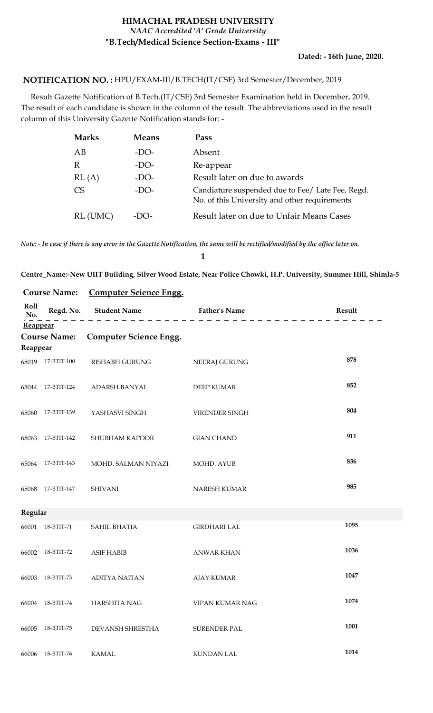#### **HIMACHAL PRADESH UNIVERSITY "B.Tech/Medical Science Section-Exams - III"** *NAAC Accredited 'A' Grade University*

#### HPU/EXAM-III/B.TECH(IT/CSE) 3rd Semester/December, 2019 **NOTIFICATION NO. :**

 Result Gazette Notification of B.Tech.(IT/CSE) 3rd Semester Examination held in December, 2019. The result of each candidate is shown in the column of the result. The abbreviations used in the result column of this University Gazette Notification stands for: -

| <b>Marks</b> | <b>Means</b> | Pass                                                                                              |
|--------------|--------------|---------------------------------------------------------------------------------------------------|
| AВ           | $-DO-$       | Absent                                                                                            |
|              | $-DO-$       | Re-appear                                                                                         |
| RL(A)        | -DO-         | Result later on due to awards                                                                     |
| CS           | $-DO-$       | Candiature suspended due to Fee/ Late Fee, Regd.<br>No. of this University and other requirements |
| RL (UMC)     | -1 X )-      | Result later on due to Unfair Means Cases                                                         |

*Note: - In case if there is any error in the Gazette Notification, the same will be rectified/modified by the office later on.*

#### **1**

**Centre\_Name:-New UIIT Building, Silver Wood Estate, Near Police Chowki, H.P. University, Summer Hill, Shimla-5**

| <b>Course Name:</b>                 |                     | <b>Computer Science Engg.</b> |                      |        |
|-------------------------------------|---------------------|-------------------------------|----------------------|--------|
| $R\overline{o}1\overline{1}$<br>No. |                     | Regd. No. Student Name        | <b>Father's Name</b> | Result |
| Reappear                            |                     |                               |                      |        |
| Reappear                            | <b>Course Name:</b> | <b>Computer Science Engg.</b> |                      |        |
|                                     | 65019 17-BTIT-100   | RISHABH GURUNG                | <b>NEERAJ GURUNG</b> | 878    |
|                                     | 65044 17-BTIT-124   | ADARSH BANYAL                 | <b>DEEP KUMAR</b>    | 852    |
| 65060                               | 17-BTIT-139         | YASHASVI SINGH                | VIRENDER SINGH       | 804    |
|                                     | 65063 17-BTIT-142   | SHUBHAM KAPOOR                | <b>GIAN CHAND</b>    | 911    |
|                                     | 65064 17-BTIT-143   | MOHD. SALMAN NIYAZI           | MOHD. AYUB           | 836    |
| 65068                               | 17-BTIT-147         | <b>SHIVANI</b>                | NARESH KUMAR         | 985    |
| <b>Regular</b>                      |                     |                               |                      |        |
| 66001                               | 18-BTIT-71          | SAHIL BHATIA                  | <b>GIRDHARI LAL</b>  | 1095   |
| 66002                               | 18-BTIT-72          | <b>ASIF HABIB</b>             | <b>ANWAR KHAN</b>    | 1036   |
| 66003                               | 18-BTIT-73          | <b>ADITYA NAITAN</b>          | <b>AJAY KUMAR</b>    | 1047   |
|                                     |                     | 66004 18-BTIT-74 HARSHITA NAG | VIPAN KUMAR NAG      | 1074   |
| 66005                               | 18-BTIT-75          | DEVANSH SHRESTHA              | SURENDER PAL         | 1001   |
| 66006                               | $18$ -BTIT-76 $\,$  | <b>KAMAL</b>                  | KUNDAN LAL           | 1014   |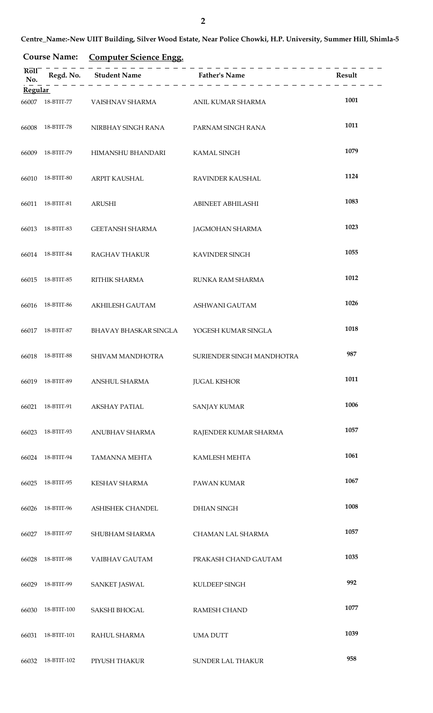**Course Name: Computer Science Engg.**

| Roll<br>No.    |             | Regd. No. Student Name Father's Name | _________________________________ | Result |
|----------------|-------------|--------------------------------------|-----------------------------------|--------|
| <b>Regular</b> |             |                                      |                                   |        |
| 66007          | 18-BTIT-77  | VAISHNAV SHARMA                      | ANIL KUMAR SHARMA                 | 1001   |
| 66008          | 18-BTIT-78  | NIRBHAY SINGH RANA                   | PARNAM SINGH RANA                 | 1011   |
| 66009          | 18-BTIT-79  | HIMANSHU BHANDARI                    | KAMAL SINGH                       | 1079   |
| 66010          | 18-BTIT-80  | ARPIT KAUSHAL                        | RAVINDER KAUSHAL                  | 1124   |
| 66011          | 18-BTIT-81  | <b>ARUSHI</b>                        | <b>ABINEET ABHILASHI</b>          | 1083   |
| 66013          | 18-BTIT-83  | <b>GEETANSH SHARMA</b>               | <b>JAGMOHAN SHARMA</b>            | 1023   |
| 66014          | 18-BTIT-84  | <b>RAGHAV THAKUR</b>                 | KAVINDER SINGH                    | 1055   |
| 66015          | 18-BTIT-85  | RITHIK SHARMA                        | RUNKA RAM SHARMA                  | 1012   |
| 66016          | 18-BTIT-86  | AKHILESH GAUTAM                      | ASHWANI GAUTAM                    | 1026   |
| 66017          | 18-BTIT-87  | <b>BHAVAY BHASKAR SINGLA</b>         | YOGESH KUMAR SINGLA               | 1018   |
| 66018          | 18-BTIT-88  | SHIVAM MANDHOTRA                     | SURIENDER SINGH MANDHOTRA         | 987    |
|                |             | 66019 18-BTIT-89 ANSHUL SHARMA       | <b>JUGAL KISHOR</b>               | 1011   |
| 66021          | 18-BTIT-91  | <b>AKSHAY PATIAL</b>                 | <b>SANJAY KUMAR</b>               | 1006   |
| 66023          | 18-BTIT-93  | ANUBHAV SHARMA                       | RAJENDER KUMAR SHARMA             | 1057   |
| 66024          | 18-BTIT-94  | <b>TAMANNA MEHTA</b>                 | KAMLESH MEHTA                     | 1061   |
| 66025          | 18-BTIT-95  | KESHAV SHARMA                        | PAWAN KUMAR                       | 1067   |
| 66026          | 18-BTIT-96  | ASHISHEK CHANDEL                     | <b>DHIAN SINGH</b>                | 1008   |
| 66027          | 18-BTIT-97  | SHUBHAM SHARMA                       | CHAMAN LAL SHARMA                 | 1057   |
| 66028          | 18-BTIT-98  | VAIBHAV GAUTAM                       | PRAKASH CHAND GAUTAM              | 1035   |
| 66029          | 18-BTIT-99  | <b>SANKET JASWAL</b>                 | KULDEEP SINGH                     | 992    |
| 66030          | 18-BTIT-100 | SAKSHI BHOGAL                        | <b>RAMESH CHAND</b>               | 1077   |
| 66031          | 18-BTIT-101 | RAHUL SHARMA                         | <b>UMA DUTT</b>                   | 1039   |
| 66032          | 18-BTIT-102 | PIYUSH THAKUR                        | SUNDER LAL THAKUR                 | 958    |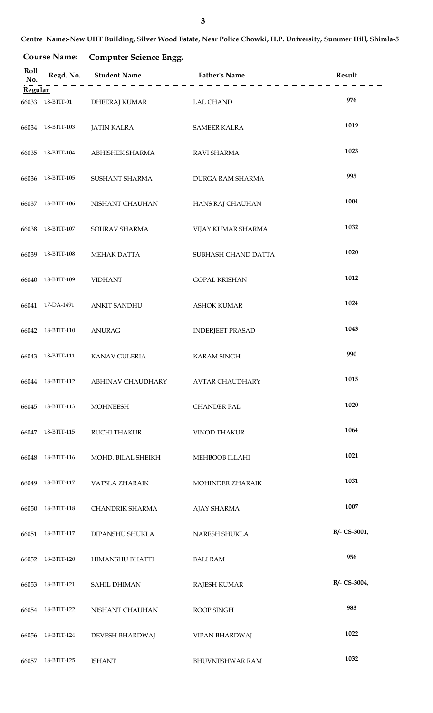**Centre\_Name:-New UIIT Building, Silver Wood Estate, Near Police Chowki, H.P. University, Summer Hill, Shimla-5**

### **Course Name: Computer Science Engg.**

| Rol1<br>No.    |                   |                                                     | _ _ _ _ _ _ _ _ _ _ _ _ _ | Result       |
|----------------|-------------------|-----------------------------------------------------|---------------------------|--------------|
| <b>Regular</b> |                   |                                                     |                           |              |
| 66033          | 18-BTIT-01        | DHEERAJ KUMAR                                       | <b>LAL CHAND</b>          | 976          |
| 66034          | 18-BTIT-103       | <b>JATIN KALRA</b>                                  | <b>SAMEER KALRA</b>       | 1019         |
| 66035          | 18-BTIT-104       | ABHISHEK SHARMA                                     | <b>RAVI SHARMA</b>        | 1023         |
| 66036          | 18-BTIT-105       | SUSHANT SHARMA                                      | DURGA RAM SHARMA          | 995          |
| 66037          | 18-BTIT-106       | NISHANT CHAUHAN                                     | HANS RAJ CHAUHAN          | 1004         |
| 66038          | 18-BTIT-107       | SOURAV SHARMA                                       | VIJAY KUMAR SHARMA        | 1032         |
| 66039          | 18-BTIT-108       | MEHAK DATTA                                         | SUBHASH CHAND DATTA       | 1020         |
| 66040          | 18-BTIT-109       | <b>VIDHANT</b>                                      | <b>GOPAL KRISHAN</b>      | 1012         |
|                | 66041 17-DA-1491  | <b>ANKIT SANDHU</b>                                 | <b>ASHOK KUMAR</b>        | 1024         |
|                | 66042 18-BTIT-110 | <b>ANURAG</b>                                       | <b>INDERJEET PRASAD</b>   | 1043         |
| 66043          | 18-BTIT-111       | <b>KANAV GULERIA</b>                                | <b>KARAM SINGH</b>        | 990          |
|                |                   | 66044 18-BTIT-112 ABHINAV CHAUDHARY AVTAR CHAUDHARY |                           | 1015         |
| 66045          | 18-BTIT-113       | <b>MOHNEESH</b>                                     | <b>CHANDER PAL</b>        | 1020         |
| 66047          | 18-BTIT-115       | <b>RUCHI THAKUR</b>                                 | <b>VINOD THAKUR</b>       | 1064         |
| 66048          | 18-BTIT-116       | MOHD. BILAL SHEIKH                                  | MEHBOOB ILLAHI            | 1021         |
| 66049          | 18-BTIT-117       | VATSLA ZHARAIK                                      | MOHINDER ZHARAIK          | 1031         |
| 66050          | 18-BTIT-118       | CHANDRIK SHARMA                                     | <b>AJAY SHARMA</b>        | 1007         |
| 66051          | 18-BTIT-117       | DIPANSHU SHUKLA                                     | NARESH SHUKLA             | R/- CS-3001, |
| 66052          | 18-BTIT-120       | HIMANSHU BHATTI                                     | <b>BALI RAM</b>           | 956          |
| 66053          | 18-BTIT-121       | <b>SAHIL DHIMAN</b>                                 | <b>RAJESH KUMAR</b>       | R/- CS-3004, |
| 66054          | 18-BTIT-122       | NISHANT CHAUHAN                                     | ROOP SINGH                | 983          |
| 66056          | 18-BTIT-124       | DEVESH BHARDWAJ                                     | <b>VIPAN BHARDWAJ</b>     | 1022         |
| 66057          | 18-BTIT-125       | <b>ISHANT</b>                                       | BHUVNESHWAR RAM           | 1032         |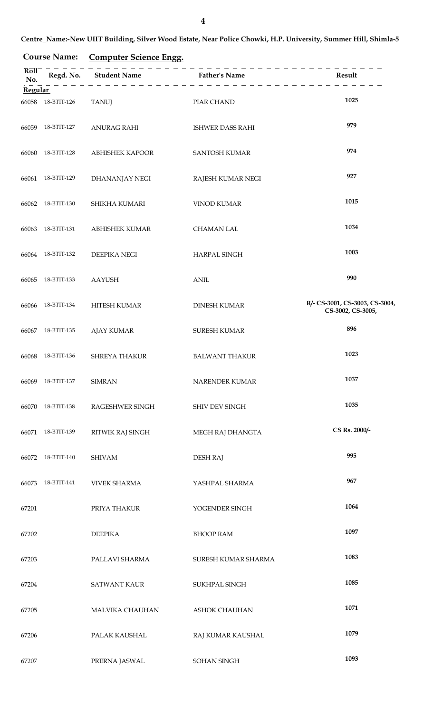### **Course Name: Computer Science Engg.**

| Roll<br>No.    |                   | Regd. No. Student Name | <b>Father's Name</b>    | Result                                              |
|----------------|-------------------|------------------------|-------------------------|-----------------------------------------------------|
| <b>Regular</b> |                   |                        |                         |                                                     |
| 66058          | 18-BTIT-126       | <b>TANUJ</b>           | PIAR CHAND              | 1025                                                |
| 66059          | 18-BTIT-127       | <b>ANURAG RAHI</b>     | <b>ISHWER DASS RAHI</b> | 979                                                 |
| 66060          | 18-BTIT-128       | <b>ABHISHEK KAPOOR</b> | SANTOSH KUMAR           | 974                                                 |
| 66061          | 18-BTIT-129       | DHANANJAY NEGI         | RAJESH KUMAR NEGI       | 927                                                 |
| 66062          | 18-BTIT-130       | SHIKHA KUMARI          | <b>VINOD KUMAR</b>      | 1015                                                |
| 66063          | 18-BTIT-131       | <b>ABHISHEK KUMAR</b>  | <b>CHAMAN LAL</b>       | 1034                                                |
| 66064          | 18-BTIT-132       | DEEPIKA NEGI           | HARPAL SINGH            | 1003                                                |
| 66065          | 18-BTIT-133       | <b>AAYUSH</b>          | <b>ANIL</b>             | 990                                                 |
| 66066          | 18-BTIT-134       | HITESH KUMAR           | <b>DINESH KUMAR</b>     | R/- CS-3001, CS-3003, CS-3004,<br>CS-3002, CS-3005, |
| 66067          | 18-BTIT-135       | <b>AJAY KUMAR</b>      | SURESH KUMAR            | 896                                                 |
| 66068          | 18-BTIT-136       | SHREYA THAKUR          | <b>BALWANT THAKUR</b>   | 1023                                                |
|                | 66069 18-BTIT-137 | <b>SIMRAN</b>          | NARENDER KUMAR          | 1037                                                |
|                | 66070 18-BTIT-138 | RAGESHWER SINGH        | SHIV DEV SINGH          | 1035                                                |
|                | 66071 18-BTIT-139 | RITWIK RAJ SINGH       | MEGH RAJ DHANGTA        | CS Rs. 2000/-                                       |
|                | 66072 18-BTIT-140 | <b>SHIVAM</b>          | <b>DESH RAJ</b>         | 995                                                 |
|                | 66073 18-BTIT-141 | <b>VIVEK SHARMA</b>    | YASHPAL SHARMA          | 967                                                 |
| 67201          |                   | PRIYA THAKUR           | YOGENDER SINGH          | 1064                                                |
| 67202          |                   | <b>DEEPIKA</b>         | <b>BHOOP RAM</b>        | 1097                                                |
| 67203          |                   | PALLAVI SHARMA         | SURESH KUMAR SHARMA     | 1083                                                |
| 67204          |                   | <b>SATWANT KAUR</b>    | SUKHPAL SINGH           | 1085                                                |
| 67205          |                   | MALVIKA CHAUHAN        | <b>ASHOK CHAUHAN</b>    | 1071                                                |
| 67206          |                   | PALAK KAUSHAL          | RAJ KUMAR KAUSHAL       | 1079                                                |
| 67207          |                   | PRERNA JASWAL          | SOHAN SINGH             | 1093                                                |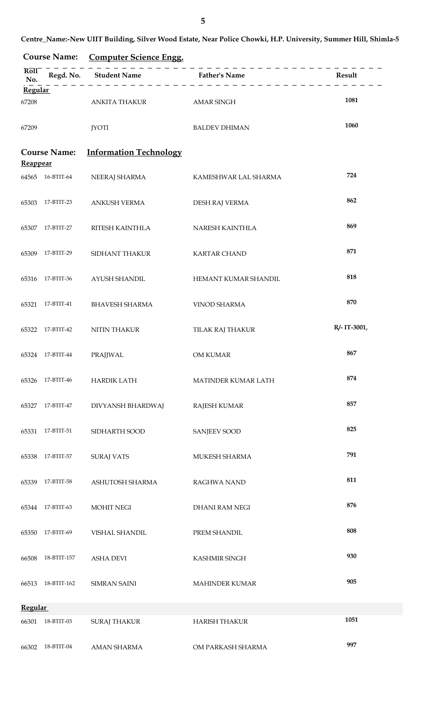**Centre\_Name:-New UIIT Building, Silver Wood Estate, Near Police Chowki, H.P. University, Summer Hill, Shimla-5**

|                 | <b>Course Name:</b> | <b>Computer Science Engg.</b> |                       |              |
|-----------------|---------------------|-------------------------------|-----------------------|--------------|
| Roll<br>No.     |                     | Regd. No. Student Name        | <b>Father's Name</b>  | Result       |
| <b>Regular</b>  |                     |                               |                       |              |
| 67208           |                     | ANKITA THAKUR                 | <b>AMAR SINGH</b>     | 1081         |
| 67209           |                     | <b>JYOTI</b>                  | <b>BALDEV DHIMAN</b>  | 1060         |
| <b>Reappear</b> | <b>Course Name:</b> | <b>Information Technology</b> |                       |              |
| 64565           | 16-BTIT-64          | NEERAJ SHARMA                 | KAMESHWAR LAL SHARMA  | 724          |
| 65303           | 17-BTIT-23          | <b>ANKUSH VERMA</b>           | DESH RAJ VERMA        | 862          |
| 65307           | 17-BTIT-27          | RITESH KAINTHLA               | NARESH KAINTHLA       | 869          |
| 65309           | 17-BTIT-29          | SIDHANT THAKUR                | <b>KARTAR CHAND</b>   | 871          |
| 65316           | 17-BTIT-36          | AYUSH SHANDIL                 | HEMANT KUMAR SHANDIL  | 818          |
| 65321           | 17-BTIT-41          | <b>BHAVESH SHARMA</b>         | <b>VINOD SHARMA</b>   | 870          |
| 65322           | 17-BTIT-42          | <b>NITIN THAKUR</b>           | TILAK RAJ THAKUR      | R/- IT-3001, |
| 65324           | 17-BTIT-44          | PRAJJWAL                      | <b>OM KUMAR</b>       | 867          |
| 65326           | 17-BTIT-46          | <b>HARDIK LATH</b>            | MATINDER KUMAR LATH   | 874          |
| 65327           | 17-BTIT-47          | DIVYANSH BHARDWAJ             | <b>RAJESH KUMAR</b>   | 857          |
| 65331           | 17-BTIT-51          | SIDHARTH SOOD                 | <b>SANJEEV SOOD</b>   | 825          |
| 65338           | 17-BTIT-57          | <b>SURAJ VATS</b>             | MUKESH SHARMA         | 791          |
| 65339           | 17-BTIT-58          | ASHUTOSH SHARMA               | <b>RAGHWA NAND</b>    | 811          |
| 65344           | 17-BTIT-63          | <b>MOHIT NEGI</b>             | DHANI RAM NEGI        | 876          |
| 65350           | 17-BTIT-69          | VISHAL SHANDIL                | PREM SHANDIL          | 808          |
| 66508           | 18-BTIT-157         | <b>ASHA DEVI</b>              | KASHMIR SINGH         | 930          |
| 66513           | 18-BTIT-162         | <b>SIMRAN SAINI</b>           | <b>MAHINDER KUMAR</b> | 905          |
| <b>Regular</b>  |                     |                               |                       |              |
| 66301           | 18-BTIT-03          | <b>SURAJ THAKUR</b>           | <b>HARISH THAKUR</b>  | 1051         |
| 66302           | 18-BTIT-04          | <b>AMAN SHARMA</b>            | OM PARKASH SHARMA     | 997          |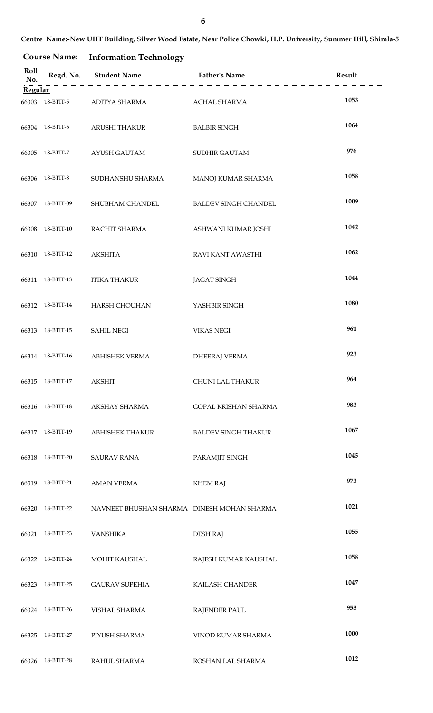# **Course Name: Information Technology**

| Rol1<br>No.    |                         | ------------<br>Regd. No. Student Name Father's Name |                             | Result |
|----------------|-------------------------|------------------------------------------------------|-----------------------------|--------|
| <b>Regular</b> |                         |                                                      |                             |        |
| 66303          |                         | 18-BTIT-5 ADITYA SHARMA                              | <b>ACHAL SHARMA</b>         | 1053   |
| 66304          | 18-BTIT-6               | ARUSHI THAKUR                                        | <b>BALBIR SINGH</b>         | 1064   |
| 66305          | 18-BTIT-7               | AYUSH GAUTAM                                         | SUDHIR GAUTAM               | 976    |
| 66306          | 18-BTIT-8               | SUDHANSHU SHARMA                                     | MANOJ KUMAR SHARMA          | 1058   |
| 66307          | 18-BTIT-09              | SHUBHAM CHANDEL                                      | <b>BALDEV SINGH CHANDEL</b> | 1009   |
| 66308          | 18-BTIT-10              | RACHIT SHARMA                                        | ASHWANI KUMAR JOSHI         | 1042   |
| 66310          | 18-BTIT-12              | AKSHITA                                              | RAVI KANT AWASTHI           | 1062   |
|                | 66311 18-BTIT-13        | <b>ITIKA THAKUR</b>                                  | <b>JAGAT SINGH</b>          | 1044   |
|                | 66312 18-BTIT-14        | HARSH CHOUHAN                                        | YASHBIR SINGH               | 1080   |
| 66313          | 18-BTIT-15              | <b>SAHIL NEGI</b>                                    | <b>VIKAS NEGI</b>           | 961    |
|                | 66314 18-BTIT-16        | <b>ABHISHEK VERMA</b>                                | <b>DHEERAJ VERMA</b>        | 923    |
|                | 66315 18-BTIT-17 AKSHIT |                                                      | CHUNI LAL THAKUR            | 964    |
| 66316          | 18-BTIT-18              | AKSHAY SHARMA                                        | GOPAL KRISHAN SHARMA        | 983    |
| 66317          | 18-BTIT-19              | <b>ABHISHEK THAKUR</b>                               | <b>BALDEV SINGH THAKUR</b>  | 1067   |
| 66318          | 18-BTIT-20              | <b>SAURAV RANA</b>                                   | PARAMJIT SINGH              | 1045   |
| 66319          | 18-BTIT-21              | <b>AMAN VERMA</b>                                    | <b>KHEM RAJ</b>             | 973    |
| 66320          | 18-BTIT-22              | NAVNEET BHUSHAN SHARMA DINESH MOHAN SHARMA           |                             | 1021   |
| 66321          | 18-BTIT-23              | <b>VANSHIKA</b>                                      | <b>DESH RAJ</b>             | 1055   |
| 66322          | 18-BTIT-24              | MOHIT KAUSHAL                                        | RAJESH KUMAR KAUSHAL        | 1058   |
| 66323          | 18-BTIT-25              | <b>GAURAV SUPEHIA</b>                                | KAILASH CHANDER             | 1047   |
| 66324          | 18-BTIT-26              | <b>VISHAL SHARMA</b>                                 | <b>RAJENDER PAUL</b>        | 953    |
| 66325          | 18-BTIT-27              | PIYUSH SHARMA                                        | VINOD KUMAR SHARMA          | 1000   |
| 66326          | 18-BTIT-28              | RAHUL SHARMA                                         | ROSHAN LAL SHARMA           | 1012   |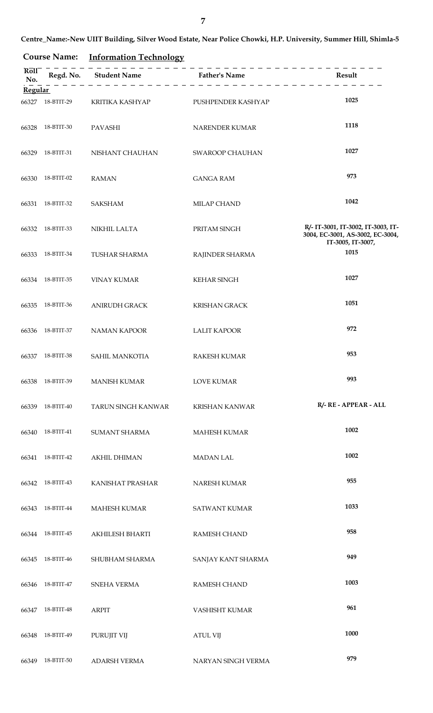**Centre\_Name:-New UIIT Building, Silver Wood Estate, Near Police Chowki, H.P. University, Summer Hill, Shimla-5**

# **Course Name: Information Technology**

| Roll<br>No.<br><b>Regular</b> |                  | Regd. No. Student Name Father's Name | $\frac{1}{2} \frac{1}{2} \frac{1}{2} \frac{1}{2} \frac{1}{2} \frac{1}{2} \frac{1}{2} \frac{1}{2} \frac{1}{2} \frac{1}{2} \frac{1}{2} \frac{1}{2} \frac{1}{2} \frac{1}{2} \frac{1}{2} \frac{1}{2} \frac{1}{2} \frac{1}{2} \frac{1}{2} \frac{1}{2} \frac{1}{2} \frac{1}{2} \frac{1}{2} \frac{1}{2} \frac{1}{2} \frac{1}{2} \frac{1}{2} \frac{1}{2} \frac{1}{2} \frac{1}{2} \frac{1}{2} \frac{$ | Result                                                                                      |
|-------------------------------|------------------|--------------------------------------|----------------------------------------------------------------------------------------------------------------------------------------------------------------------------------------------------------------------------------------------------------------------------------------------------------------------------------------------------------------------------------------------|---------------------------------------------------------------------------------------------|
|                               |                  |                                      |                                                                                                                                                                                                                                                                                                                                                                                              |                                                                                             |
| 66327                         | 18-BTIT-29       | KRITIKA KASHYAP                      | PUSHPENDER KASHYAP                                                                                                                                                                                                                                                                                                                                                                           | 1025                                                                                        |
| 66328                         | 18-BTIT-30       | PAVASHI                              | NARENDER KUMAR                                                                                                                                                                                                                                                                                                                                                                               | 1118                                                                                        |
| 66329                         | 18-BTIT-31       | NISHANT CHAUHAN                      | SWAROOP CHAUHAN                                                                                                                                                                                                                                                                                                                                                                              | 1027                                                                                        |
| 66330                         | 18-BTIT-02       | <b>RAMAN</b>                         | <b>GANGA RAM</b>                                                                                                                                                                                                                                                                                                                                                                             | 973                                                                                         |
| 66331                         | 18-BTIT-32       | <b>SAKSHAM</b>                       | MILAP CHAND                                                                                                                                                                                                                                                                                                                                                                                  | 1042                                                                                        |
| 66332                         | 18-BTIT-33       | NIKHIL LALTA                         | PRITAM SINGH                                                                                                                                                                                                                                                                                                                                                                                 | R/- IT-3001, IT-3002, IT-3003, IT-<br>3004, EC-3001, AS-3002, EC-3004,<br>IT-3005, IT-3007, |
| 66333                         | 18-BTIT-34       | <b>TUSHAR SHARMA</b>                 | RAJINDER SHARMA                                                                                                                                                                                                                                                                                                                                                                              | 1015                                                                                        |
|                               | 66334 18-BTIT-35 | <b>VINAY KUMAR</b>                   | <b>KEHAR SINGH</b>                                                                                                                                                                                                                                                                                                                                                                           | 1027                                                                                        |
| 66335                         | 18-BTIT-36       | <b>ANIRUDH GRACK</b>                 | <b>KRISHAN GRACK</b>                                                                                                                                                                                                                                                                                                                                                                         | 1051                                                                                        |
| 66336                         | 18-BTIT-37       | <b>NAMAN KAPOOR</b>                  | <b>LALIT KAPOOR</b>                                                                                                                                                                                                                                                                                                                                                                          | 972                                                                                         |
| 66337                         | 18-BTIT-38       | SAHIL MANKOTIA                       | <b>RAKESH KUMAR</b>                                                                                                                                                                                                                                                                                                                                                                          | 953                                                                                         |
|                               |                  | 66338 18-BTIT-39 MANISH KUMAR        | <b>LOVE KUMAR</b>                                                                                                                                                                                                                                                                                                                                                                            | 993                                                                                         |
|                               | 66339 18-BTIT-40 | TARUN SINGH KANWAR                   | <b>KRISHAN KANWAR</b>                                                                                                                                                                                                                                                                                                                                                                        | R/- RE - APPEAR - ALL                                                                       |
|                               | 66340 18-BTIT-41 | SUMANT SHARMA                        | <b>MAHESH KUMAR</b>                                                                                                                                                                                                                                                                                                                                                                          | 1002                                                                                        |
|                               | 66341 18-BTIT-42 | <b>AKHIL DHIMAN</b>                  | <b>MADAN LAL</b>                                                                                                                                                                                                                                                                                                                                                                             | 1002                                                                                        |
|                               | 66342 18-BTIT-43 | KANISHAT PRASHAR                     | NARESH KUMAR                                                                                                                                                                                                                                                                                                                                                                                 | 955                                                                                         |
|                               | 66343 18-BTIT-44 | <b>MAHESH KUMAR</b>                  | <b>SATWANT KUMAR</b>                                                                                                                                                                                                                                                                                                                                                                         | 1033                                                                                        |
|                               | 66344 18-BTIT-45 | AKHILESH BHARTI                      | <b>RAMESH CHAND</b>                                                                                                                                                                                                                                                                                                                                                                          | 958                                                                                         |
| 66345                         | 18-BTIT-46       | SHUBHAM SHARMA                       | SANJAY KANT SHARMA                                                                                                                                                                                                                                                                                                                                                                           | 949                                                                                         |
| 66346                         | 18-BTIT-47       | SNEHA VERMA                          | <b>RAMESH CHAND</b>                                                                                                                                                                                                                                                                                                                                                                          | 1003                                                                                        |
|                               | 66347 18-BTIT-48 | <b>ARPIT</b>                         | VASHISHT KUMAR                                                                                                                                                                                                                                                                                                                                                                               | 961                                                                                         |
| 66348                         | 18-BTIT-49       | PURUJIT VIJ                          | <b>ATUL VIJ</b>                                                                                                                                                                                                                                                                                                                                                                              | 1000                                                                                        |
| 66349                         | 18-BTIT-50       | ADARSH VERMA                         | NARYAN SINGH VERMA                                                                                                                                                                                                                                                                                                                                                                           | 979                                                                                         |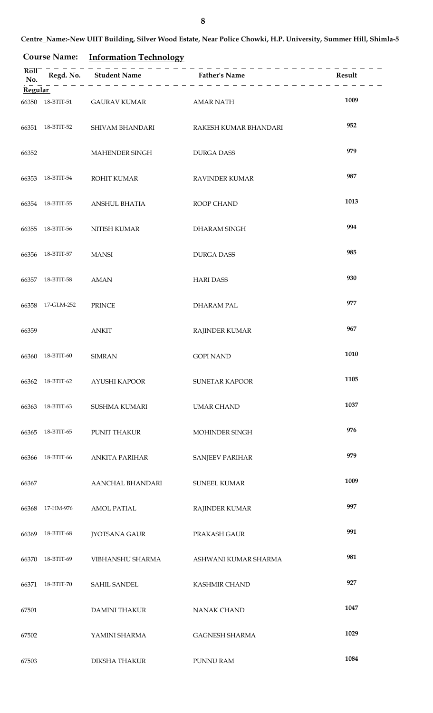# **Course Name: Information Technology**

| Roll<br>No.    |                  | Regd. No. Student Name Father's Name | ___________________________________ | Result |
|----------------|------------------|--------------------------------------|-------------------------------------|--------|
| <b>Regular</b> |                  |                                      |                                     |        |
| 66350          | 18-BTIT-51       | <b>GAURAV KUMAR</b>                  | <b>AMAR NATH</b>                    | 1009   |
| 66351          | 18-BTIT-52       | SHIVAM BHANDARI                      | RAKESH KUMAR BHANDARI               | 952    |
| 66352          |                  | <b>MAHENDER SINGH</b>                | <b>DURGA DASS</b>                   | 979    |
| 66353          | 18-BTIT-54       | ROHIT KUMAR                          | RAVINDER KUMAR                      | 987    |
|                | 66354 18-BTIT-55 | <b>ANSHUL BHATIA</b>                 | ROOP CHAND                          | 1013   |
| 66355          | 18-BTIT-56       | NITISH KUMAR                         | DHARAM SINGH                        | 994    |
| 66356          | 18-BTIT-57       | <b>MANSI</b>                         | <b>DURGA DASS</b>                   | 985    |
| 66357          | 18-BTIT-58       | <b>AMAN</b>                          | <b>HARI DASS</b>                    | 930    |
|                | 66358 17-GLM-252 | <b>PRINCE</b>                        | <b>DHARAM PAL</b>                   | 977    |
| 66359          |                  | <b>ANKIT</b>                         | <b>RAJINDER KUMAR</b>               | 967    |
| 66360          | 18-BTIT-60       | <b>SIMRAN</b>                        | <b>GOPI NAND</b>                    | 1010   |
|                |                  | 66362 18-BTIT-62 AYUSHI KAPOOR       | <b>SUNETAR KAPOOR</b>               | 1105   |
| 66363          | 18-BTIT-63       | <b>SUSHMA KUMARI</b>                 | <b>UMAR CHAND</b>                   | 1037   |
| 66365          | 18-BTIT-65       | PUNIT THAKUR                         | MOHINDER SINGH                      | 976    |
| 66366          | 18-BTIT-66       | <b>ANKITA PARIHAR</b>                | SANJEEV PARIHAR                     | 979    |
| 66367          |                  | AANCHAL BHANDARI                     | <b>SUNEEL KUMAR</b>                 | 1009   |
| 66368          | 17-HM-976        | <b>AMOL PATIAL</b>                   | <b>RAJINDER KUMAR</b>               | 997    |
| 66369          | 18-BTIT-68       | <b>JYOTSANA GAUR</b>                 | PRAKASH GAUR                        | 991    |
| 66370          | 18-BTIT-69       | VIBHANSHU SHARMA                     | ASHWANI KUMAR SHARMA                | 981    |
| 66371          | 18-BTIT-70       | SAHIL SANDEL                         | <b>KASHMIR CHAND</b>                | 927    |
| 67501          |                  | <b>DAMINI THAKUR</b>                 | <b>NANAK CHAND</b>                  | 1047   |
| 67502          |                  | YAMINI SHARMA                        | <b>GAGNESH SHARMA</b>               | 1029   |
| 67503          |                  | <b>DIKSHA THAKUR</b>                 | PUNNU RAM                           | 1084   |